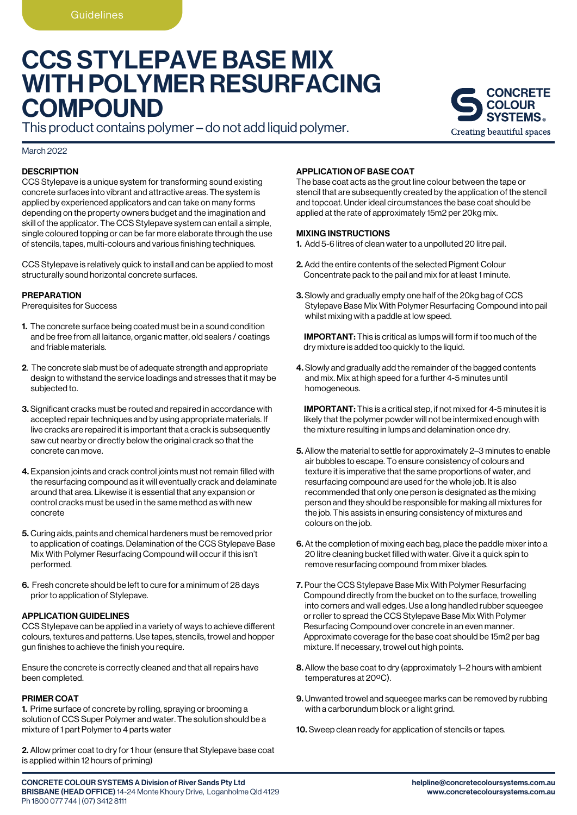# CCS STYLEPAVE BASE MIX WITH POLYMER RESURFACING **COMPOUND**

This product contains polymer – do not add liquid polymer.

## March 2022

# **DESCRIPTION**

CCS Stylepave is a unique system for transforming sound existing concrete surfaces into vibrant and attractive areas. The system is applied by experienced applicators and can take on many forms depending on the property owners budget and the imagination and skill of the applicator. The CCS Stylepave system can entail a simple, single coloured topping or can be far more elaborate through the use of stencils, tapes, multi-colours and various finishing techniques.

CCS Stylepave is relatively quick to install and can be applied to most structurally sound horizontal concrete surfaces.

# PREPARATION

Prerequisites for Success

- 1. The concrete surface being coated must be in a sound condition and be free from all laitance, organic matter, old sealers / coatings and friable materials.
- 2. The concrete slab must be of adequate strength and appropriate design to withstand the service loadings and stresses that it may be subjected to.
- 3. Significant cracks must be routed and repaired in accordance with accepted repair techniques and by using appropriate materials. If live cracks are repaired it is important that a crack is subsequently saw cut nearby or directly below the original crack so that the concrete can move.
- 4. Expansion joints and crack control joints must not remain filled with the resurfacing compound as it will eventually crack and delaminate around that area. Likewise it is essential that any expansion or control cracks must be used in the same method as with new concrete
- 5. Curing aids, paints and chemical hardeners must be removed prior to application of coatings. Delamination of the CCS Stylepave Base Mix With Polymer Resurfacing Compound will occur if this isn't performed.
- 6. Fresh concrete should be left to cure for a minimum of 28 days prior to application of Stylepave.

## APPLICATION GUIDELINES

CCS Stylepave can be applied in a variety of ways to achieve different colours, textures and patterns. Use tapes, stencils, trowel and hopper gun finishes to achieve the finish you require.

Ensure the concrete is correctly cleaned and that all repairs have been completed.

# PRIMER COAT

1. Prime surface of concrete by rolling, spraying or brooming a solution of CCS Super Polymer and water. The solution should be a mixture of 1 part Polymer to 4 parts water

2. Allow primer coat to dry for 1 hour (ensure that Stylepave base coat is applied within 12 hours of priming)

# APPLICATION OF BASE COAT

The base coat acts as the grout line colour between the tape or stencil that are subsequently created by the application of the stencil and topcoat. Under ideal circumstances the base coat should be applied at the rate of approximately 15m2 per 20kg mix.

## MIXING INSTRUCTIONS

1. Add 5-6 litres of clean water to a unpolluted 20 litre pail.

- 2. Add the entire contents of the selected Pigment Colour Concentrate pack to the pail and mix for at least 1 minute.
- 3. Slowly and gradually empty one half of the 20kg bag of CCS Stylepave Base Mix With Polymer Resurfacing Compound into pail whilst mixing with a paddle at low speed.

 IMPORTANT: This is critical as lumps will form if too much of the dry mixture is added too quickly to the liquid.

4. Slowly and gradually add the remainder of the bagged contents and mix. Mix at high speed for a further 4-5 minutes until homogeneous.

 IMPORTANT: This is a critical step, if not mixed for 4-5 minutes it is likely that the polymer powder will not be intermixed enough with the mixture resulting in lumps and delamination once dry.

- 5. Allow the material to settle for approximately 2–3 minutes to enable air bubbles to escape. To ensure consistency of colours and texture it is imperative that the same proportions of water, and resurfacing compound are used for the whole job. It is also recommended that only one person is designated as the mixing person and they should be responsible for making all mixtures for the job. This assists in ensuring consistency of mixtures and colours on the job.
- 6. At the completion of mixing each bag, place the paddle mixer into a 20 litre cleaning bucket filled with water. Give it a quick spin to remove resurfacing compound from mixer blades.
- 7. Pour the CCS Stylepave Base Mix With Polymer Resurfacing Compound directly from the bucket on to the surface, trowelling into corners and wall edges. Use a long handled rubber squeegee or roller to spread the CCS Stylepave Base Mix With Polymer Resurfacing Compound over concrete in an even manner. Approximate coverage for the base coat should be 15m2 per bag mixture. If necessary, trowel out high points.
- 8. Allow the base coat to dry (approximately 1–2 hours with ambient temperatures at 20ºC).
- 9. Unwanted trowel and squeegee marks can be removed by rubbing with a carborundum block or a light grind.
- 10. Sweep clean ready for application of stencils or tapes.

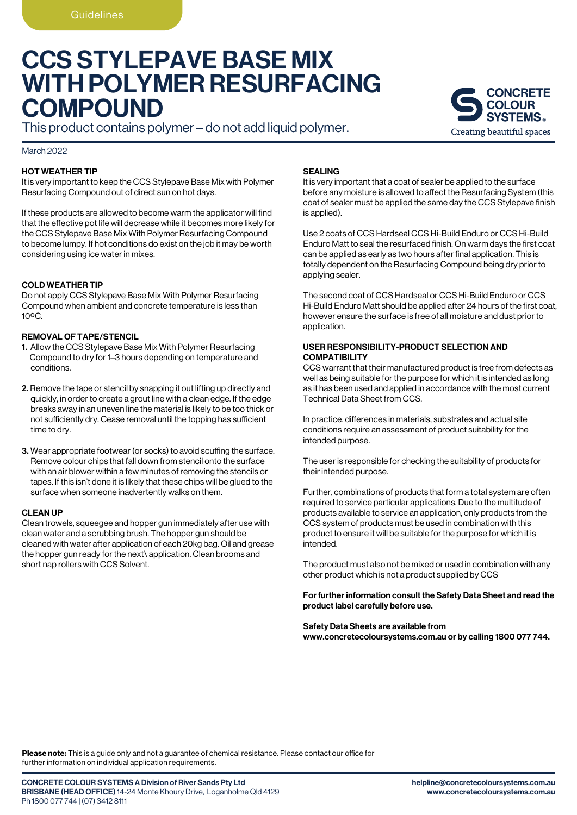# CCS STYLEPAVE BASE MIX WITH POLYMER RESURFACING **COMPOUND**

This product contains polymer – do not add liquid polymer.

#### March 2022

## HOT WEATHER TIP

It is very important to keep the CCS Stylepave Base Mix with Polymer Resurfacing Compound out of direct sun on hot days.

If these products are allowed to become warm the applicator will find that the effective pot life will decrease while it becomes more likely for the CCS Stylepave Base Mix With Polymer Resurfacing Compound to become lumpy. If hot conditions do exist on the job it may be worth considering using ice water in mixes.

## COLD WEATHER TIP

Do not apply CCS Stylepave Base Mix With Polymer Resurfacing Compound when ambient and concrete temperature is less than  $10^{\circ}$ C.

## REMOVAL OF TAPE/STENCIL

- 1. Allow the CCS Stylepave Base Mix With Polymer Resurfacing Compound to dry for 1–3 hours depending on temperature and conditions.
- 2. Remove the tape or stencil by snapping it out lifting up directly and quickly, in order to create a grout line with a clean edge. If the edge breaks away in an uneven line the material is likely to be too thick or not sufficiently dry. Cease removal until the topping has sufficient time to dry.
- 3. Wear appropriate footwear (or socks) to avoid scuffing the surface. Remove colour chips that fall down from stencil onto the surface with an air blower within a few minutes of removing the stencils or tapes. If this isn't done it is likely that these chips will be glued to the surface when someone inadvertently walks on them.

#### CLEAN UP

Clean trowels, squeegee and hopper gun immediately after use with clean water and a scrubbing brush. The hopper gun should be cleaned with water after application of each 20kg bag. Oil and grease the hopper gun ready for the next\ application. Clean brooms and short nap rollers with CCS Solvent.

#### SEALING

It is very important that a coat of sealer be applied to the surface before any moisture is allowed to affect the Resurfacing System (this coat of sealer must be applied the same day the CCS Stylepave finish is applied).

Use 2 coats of CCS Hardseal CCS Hi-Build Enduro or CCS Hi-Build Enduro Matt to seal the resurfaced finish. On warm days the first coat can be applied as early as two hours after final application. This is totally dependent on the Resurfacing Compound being dry prior to applying sealer.

The second coat of CCS Hardseal or CCS Hi-Build Enduro or CCS Hi-Build Enduro Matt should be applied after 24 hours of the first coat, however ensure the surface is free of all moisture and dust prior to application.

## USER RESPONSIBILITY-PRODUCT SELECTION AND COMPATIBILITY

CCS warrant that their manufactured product is free from defects as well as being suitable for the purpose for which it is intended as long as it has been used and applied in accordance with the most current Technical Data Sheet from CCS.

In practice, differences in materials, substrates and actual site conditions require an assessment of product suitability for the intended purpose.

The user is responsible for checking the suitability of products for their intended purpose.

Further, combinations of products that form a total system are often required to service particular applications. Due to the multitude of products available to service an application, only products from the CCS system of products must be used in combination with this product to ensure it will be suitable for the purpose for which it is intended.

The product must also not be mixed or used in combination with any other product which is not a product supplied by CCS

## For further information consult the Safety Data Sheet and read the product label carefully before use.

#### Safety Data Sheets are available from www.concretecoloursystems.com.au or by calling 1800 077 744.

Please note: This is a quide only and not a quarantee of chemical resistance. Please contact our office for further information on individual application requirements.